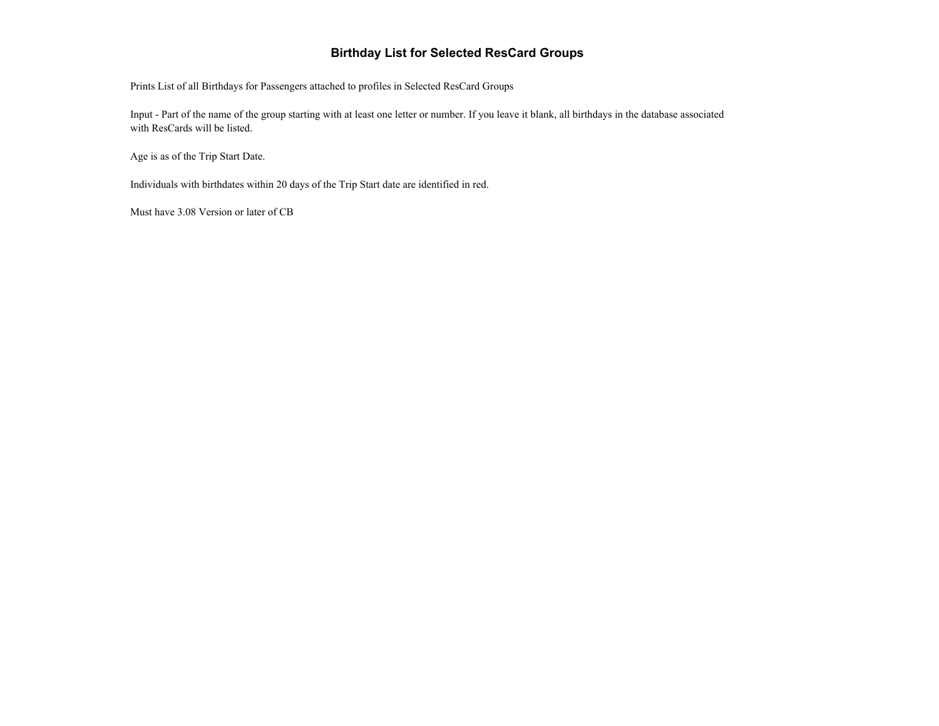## **Birthday List for Selected ResCard Groups**

Prints List of all Birthdays for Passengers attached to profiles in Selected ResCard Groups

Input - Part of the name of the group starting with at least one letter or number. If you leave it blank, all birthdays in the database associated with ResCards will be listed.

Age is as of the Trip Start Date.

Individuals with birthdates within 20 days of the Trip Start date are identified in red.

Must have 3.08 Version or later of CB